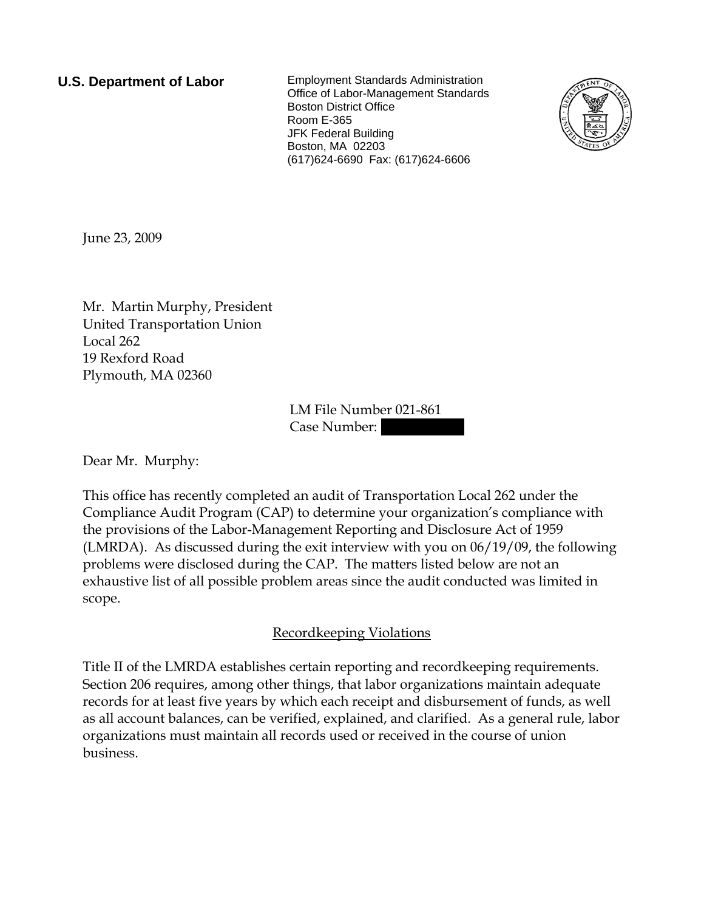**U.S. Department of Labor** Employment Standards Administration Office of Labor-Management Standards Boston District Office Room E-365 JFK Federal Building Boston, MA 02203 (617)624-6690 Fax: (617)624-6606



June 23, 2009

Mr. Martin Murphy, President United Transportation Union Local 262 19 Rexford Road Plymouth, MA 02360

> LM File Number 021-861 Case Number:

Dear Mr. Murphy:

This office has recently completed an audit of Transportation Local 262 under the Compliance Audit Program (CAP) to determine your organization's compliance with the provisions of the Labor-Management Reporting and Disclosure Act of 1959 (LMRDA). As discussed during the exit interview with you on 06/19/09, the following problems were disclosed during the CAP. The matters listed below are not an exhaustive list of all possible problem areas since the audit conducted was limited in scope.

## Recordkeeping Violations

Title II of the LMRDA establishes certain reporting and recordkeeping requirements. Section 206 requires, among other things, that labor organizations maintain adequate records for at least five years by which each receipt and disbursement of funds, as well as all account balances, can be verified, explained, and clarified. As a general rule, labor organizations must maintain all records used or received in the course of union business.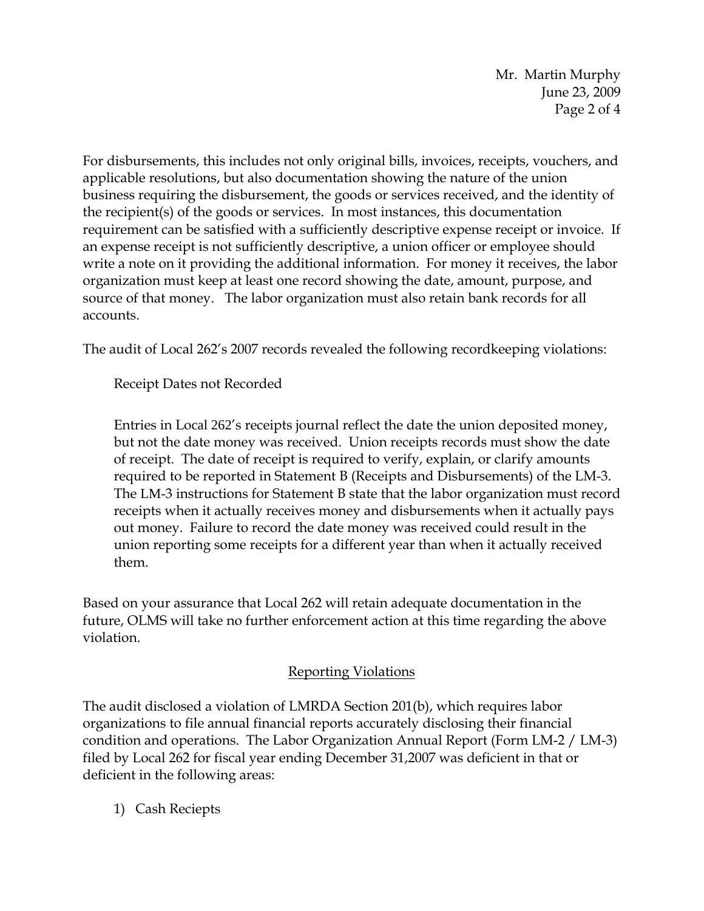Mr. Martin Murphy June 23, 2009 Page 2 of 4

For disbursements, this includes not only original bills, invoices, receipts, vouchers, and applicable resolutions, but also documentation showing the nature of the union business requiring the disbursement, the goods or services received, and the identity of the recipient(s) of the goods or services. In most instances, this documentation requirement can be satisfied with a sufficiently descriptive expense receipt or invoice. If an expense receipt is not sufficiently descriptive, a union officer or employee should write a note on it providing the additional information. For money it receives, the labor organization must keep at least one record showing the date, amount, purpose, and source of that money. The labor organization must also retain bank records for all accounts.

The audit of Local 262's 2007 records revealed the following recordkeeping violations:

Receipt Dates not Recorded

Entries in Local 262's receipts journal reflect the date the union deposited money, but not the date money was received. Union receipts records must show the date of receipt. The date of receipt is required to verify, explain, or clarify amounts required to be reported in Statement B (Receipts and Disbursements) of the LM-3. The LM-3 instructions for Statement B state that the labor organization must record receipts when it actually receives money and disbursements when it actually pays out money. Failure to record the date money was received could result in the union reporting some receipts for a different year than when it actually received them.

Based on your assurance that Local 262 will retain adequate documentation in the future, OLMS will take no further enforcement action at this time regarding the above violation.

## Reporting Violations

The audit disclosed a violation of LMRDA Section 201(b), which requires labor organizations to file annual financial reports accurately disclosing their financial condition and operations. The Labor Organization Annual Report (Form LM-2 / LM-3) filed by Local 262 for fiscal year ending December 31,2007 was deficient in that or deficient in the following areas:

1) Cash Reciepts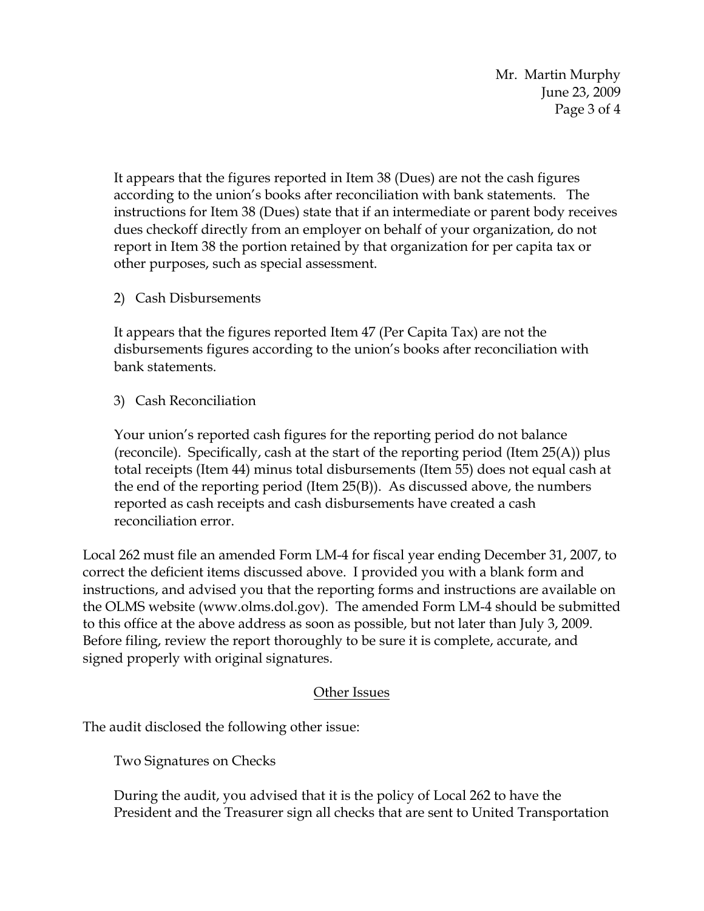Mr. Martin Murphy June 23, 2009 Page 3 of 4

It appears that the figures reported in Item 38 (Dues) are not the cash figures according to the union's books after reconciliation with bank statements. The instructions for Item 38 (Dues) state that if an intermediate or parent body receives dues checkoff directly from an employer on behalf of your organization, do not report in Item 38 the portion retained by that organization for per capita tax or other purposes, such as special assessment.

2) Cash Disbursements

It appears that the figures reported Item 47 (Per Capita Tax) are not the disbursements figures according to the union's books after reconciliation with bank statements.

3) Cash Reconciliation

Your union's reported cash figures for the reporting period do not balance (reconcile). Specifically, cash at the start of the reporting period (Item  $25(A)$ ) plus total receipts (Item 44) minus total disbursements (Item 55) does not equal cash at the end of the reporting period (Item 25(B)). As discussed above, the numbers reported as cash receipts and cash disbursements have created a cash reconciliation error.

Local 262 must file an amended Form LM-4 for fiscal year ending December 31, 2007, to correct the deficient items discussed above. I provided you with a blank form and instructions, and advised you that the reporting forms and instructions are available on the OLMS website (www.olms.dol.gov). The amended Form LM-4 should be submitted to this office at the above address as soon as possible, but not later than July 3, 2009. Before filing, review the report thoroughly to be sure it is complete, accurate, and signed properly with original signatures.

## Other Issues

The audit disclosed the following other issue:

Two Signatures on Checks

During the audit, you advised that it is the policy of Local 262 to have the President and the Treasurer sign all checks that are sent to United Transportation